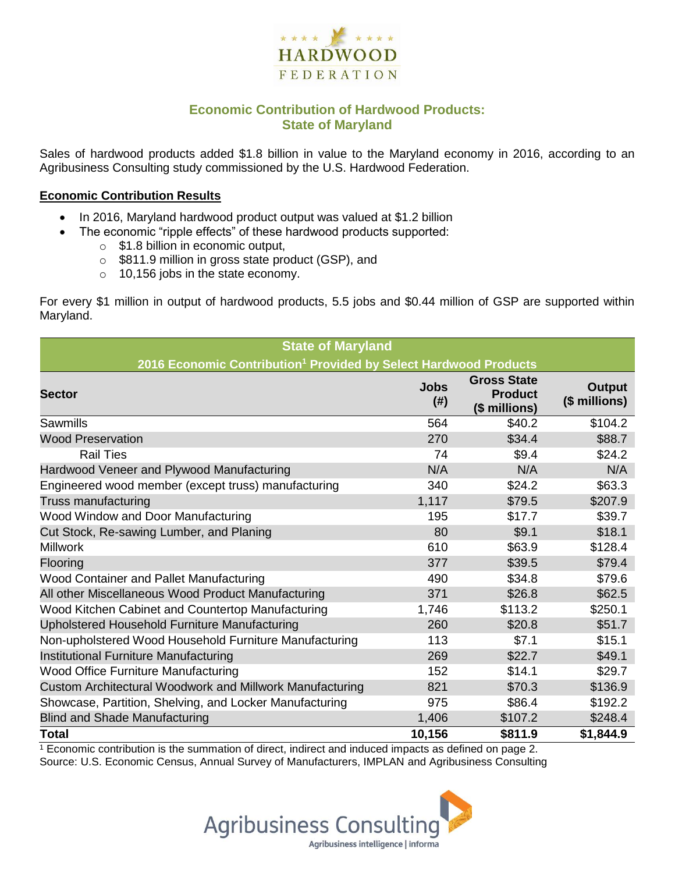

## **Economic Contribution of Hardwood Products: State of Maryland**

Sales of hardwood products added \$1.8 billion in value to the Maryland economy in 2016, according to an Agribusiness Consulting study commissioned by the U.S. Hardwood Federation.

#### **Economic Contribution Results**

- In 2016, Maryland hardwood product output was valued at \$1.2 billion
	- The economic "ripple effects" of these hardwood products supported:
		- o \$1.8 billion in economic output,
		- o \$811.9 million in gross state product (GSP), and
		- o 10,156 jobs in the state economy.

For every \$1 million in output of hardwood products, 5.5 jobs and \$0.44 million of GSP are supported within Maryland.

| <b>State of Maryland</b>                                                     |                       |                                                       |                         |  |  |  |
|------------------------------------------------------------------------------|-----------------------|-------------------------------------------------------|-------------------------|--|--|--|
| 2016 Economic Contribution <sup>1</sup> Provided by Select Hardwood Products |                       |                                                       |                         |  |  |  |
| <b>Sector</b>                                                                | <b>Jobs</b><br>$(\#)$ | <b>Gross State</b><br><b>Product</b><br>(\$ millions) | Output<br>(\$ millions) |  |  |  |
| Sawmills                                                                     | 564                   | \$40.2                                                | \$104.2                 |  |  |  |
| <b>Wood Preservation</b>                                                     | 270                   | \$34.4                                                | \$88.7                  |  |  |  |
| <b>Rail Ties</b>                                                             | 74                    | \$9.4                                                 | \$24.2                  |  |  |  |
| Hardwood Veneer and Plywood Manufacturing                                    | N/A                   | N/A                                                   | N/A                     |  |  |  |
| Engineered wood member (except truss) manufacturing                          | 340                   | \$24.2                                                | \$63.3                  |  |  |  |
| Truss manufacturing                                                          | 1,117                 | \$79.5                                                | \$207.9                 |  |  |  |
| Wood Window and Door Manufacturing                                           | 195                   | \$17.7                                                | \$39.7                  |  |  |  |
| Cut Stock, Re-sawing Lumber, and Planing                                     | 80                    | \$9.1                                                 | \$18.1                  |  |  |  |
| <b>Millwork</b>                                                              | 610                   | \$63.9                                                | \$128.4                 |  |  |  |
| Flooring                                                                     | 377                   | \$39.5                                                | \$79.4                  |  |  |  |
| Wood Container and Pallet Manufacturing                                      | 490                   | \$34.8                                                | \$79.6                  |  |  |  |
| All other Miscellaneous Wood Product Manufacturing                           | 371                   | \$26.8                                                | \$62.5                  |  |  |  |
| Wood Kitchen Cabinet and Countertop Manufacturing                            | 1,746                 | \$113.2                                               | \$250.1                 |  |  |  |
| Upholstered Household Furniture Manufacturing                                | 260                   | \$20.8                                                | \$51.7                  |  |  |  |
| Non-upholstered Wood Household Furniture Manufacturing                       | 113                   | \$7.1                                                 | \$15.1                  |  |  |  |
| Institutional Furniture Manufacturing                                        | 269                   | \$22.7                                                | \$49.1                  |  |  |  |
| Wood Office Furniture Manufacturing                                          | 152                   | \$14.1                                                | \$29.7                  |  |  |  |
| Custom Architectural Woodwork and Millwork Manufacturing                     | 821                   | \$70.3                                                | \$136.9                 |  |  |  |
| Showcase, Partition, Shelving, and Locker Manufacturing                      | 975                   | \$86.4                                                | \$192.2                 |  |  |  |
| <b>Blind and Shade Manufacturing</b>                                         | 1,406                 | \$107.2                                               | \$248.4                 |  |  |  |
| <b>Total</b>                                                                 | 10,156                | \$811.9                                               | \$1,844.9               |  |  |  |

 $1$  Economic contribution is the summation of direct, indirect and induced impacts as defined on page 2. Source: U.S. Economic Census, Annual Survey of Manufacturers, IMPLAN and Agribusiness Consulting